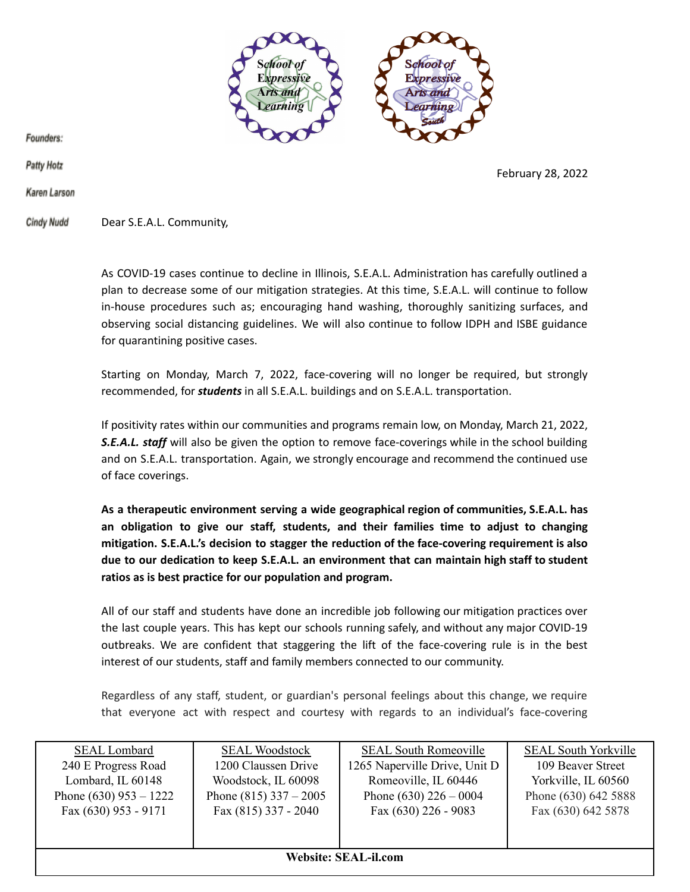

February 28, 2022

Founders:

**Patty Hotz** 

Karen Larson

**Cindy Nudd** Dear S.E.A.L. Community,

> As COVID-19 cases continue to decline in Illinois, S.E.A.L. Administration has carefully outlined a plan to decrease some of our mitigation strategies. At this time, S.E.A.L. will continue to follow in-house procedures such as; encouraging hand washing, thoroughly sanitizing surfaces, and observing social distancing guidelines. We will also continue to follow IDPH and ISBE guidance for quarantining positive cases.

> Starting on Monday, March 7, 2022, face-covering will no longer be required, but strongly recommended, for *students* in all S.E.A.L. buildings and on S.E.A.L. transportation.

> If positivity rates within our communities and programs remain low, on Monday, March 21, 2022, *S.E.A.L. staff* will also be given the option to remove face-coverings while in the school building and on S.E.A.L. transportation. Again, we strongly encourage and recommend the continued use of face coverings.

> **As a therapeutic environment serving a wide geographical region of communities, S.E.A.L. has an obligation to give our staff, students, and their families time to adjust to changing mitigation. S.E.A.L.'s decision to stagger the reduction of the face-covering requirement is also due to our dedication to keep S.E.A.L. an environment that can maintain high staff to student ratios as is best practice for our population and program.**

> All of our staff and students have done an incredible job following our mitigation practices over the last couple years. This has kept our schools running safely, and without any major COVID-19 outbreaks. We are confident that staggering the lift of the face-covering rule is in the best interest of our students, staff and family members connected to our community.

> Regardless of any staff, student, or guardian's personal feelings about this change, we require that everyone act with respect and courtesy with regards to an individual's face-covering

| <b>SEAL Lombard</b>      | <b>SEAL Woodstock</b>    | <b>SEAL South Romeoville</b>  | <b>SEAL South Yorkville</b> |  |
|--------------------------|--------------------------|-------------------------------|-----------------------------|--|
| 240 E Progress Road      | 1200 Claussen Drive      | 1265 Naperville Drive, Unit D | 109 Beaver Street           |  |
| Lombard, IL 60148        | Woodstock, IL 60098      | Romeoville, IL 60446          | Yorkville, IL 60560         |  |
| Phone $(630)$ 953 – 1222 | Phone $(815)$ 337 - 2005 | Phone $(630)$ 226 – 0004      | Phone (630) 642 5888        |  |
| Fax $(630)$ 953 - 9171   | Fax (815) 337 - 2040     | Fax $(630)$ 226 - 9083        | Fax (630) 642 5878          |  |
|                          |                          |                               |                             |  |
|                          |                          |                               |                             |  |
| Website: SEAL-il.com     |                          |                               |                             |  |